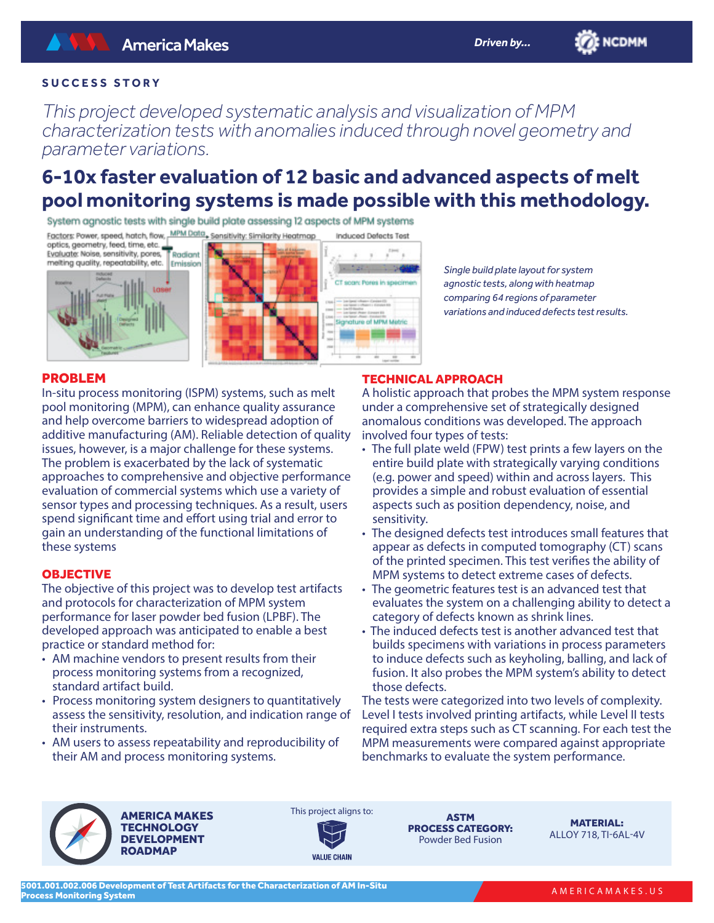**ENCDMM** 

# **SUCCESS STORY**

*This project developed systematic analysis and visualization of MPM characterization tests with anomalies induced through novel geometry and parameter variations.*

# **6-10x faster evaluation of 12 basic and advanced aspects of melt pool monitoring systems is made possible with this methodology.**

System agnostic tests with single build plate assessing 12 aspects of MPM systems

Factors: Power, speed, hatch, flow, MPM Data, Sensitivity: Similarity Heatmap Induced Defects Test

optics, geometry, feed, time, etc. Evaluate: Noise, sensitivity, pores, Radiant melting quality, repeatability, etc. Emission







*Single build plate layout for system agnostic tests, along with heatmap comparing 64 regions of parameter variations and induced defects test results.* 

## PROBLEM

In-situ process monitoring (ISPM) systems, such as melt pool monitoring (MPM), can enhance quality assurance and help overcome barriers to widespread adoption of additive manufacturing (AM). Reliable detection of quality issues, however, is a major challenge for these systems. The problem is exacerbated by the lack of systematic approaches to comprehensive and objective performance evaluation of commercial systems which use a variety of sensor types and processing techniques. As a result, users spend significant time and effort using trial and error to gain an understanding of the functional limitations of these systems

#### **OBJECTIVE**

The objective of this project was to develop test artifacts and protocols for characterization of MPM system performance for laser powder bed fusion (LPBF). The developed approach was anticipated to enable a best practice or standard method for:

- AM machine vendors to present results from their process monitoring systems from a recognized, standard artifact build.
- Process monitoring system designers to quantitatively assess the sensitivity, resolution, and indication range of their instruments.
- AM users to assess repeatability and reproducibility of their AM and process monitoring systems.

## TECHNICAL APPROACH

A holistic approach that probes the MPM system response under a comprehensive set of strategically designed anomalous conditions was developed. The approach involved four types of tests:

- The full plate weld (FPW) test prints a few layers on the entire build plate with strategically varying conditions (e.g. power and speed) within and across layers. This provides a simple and robust evaluation of essential aspects such as position dependency, noise, and sensitivity.
- The designed defects test introduces small features that appear as defects in computed tomography (CT) scans of the printed specimen. This test verifies the ability of MPM systems to detect extreme cases of defects.
- The geometric features test is an advanced test that evaluates the system on a challenging ability to detect a category of defects known as shrink lines.
- The induced defects test is another advanced test that builds specimens with variations in process parameters to induce defects such as keyholing, balling, and lack of fusion. It also probes the MPM system's ability to detect those defects.

The tests were categorized into two levels of complexity. Level I tests involved printing artifacts, while Level II tests required extra steps such as CT scanning. For each test the MPM measurements were compared against appropriate benchmarks to evaluate the system performance.



AMERICA MAKES



**VALUE CHAIN** 

ASTM PROCESS CATEGORY: Powder Bed Fusion

MATERIAL: ALLOY 718, TI-6AL-4V

AMERICAMAKES.US